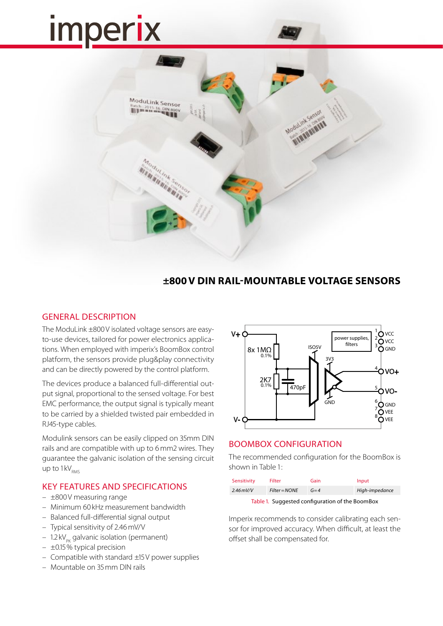# **Imperix**



## **±800V DIN RAIL-MOUNTABLE VOLTAGE SENSORS**

## GENERAL DESCRIPTION

The ModuLink ±800V isolated voltage sensors are easyto-use devices, tailored for power electronics applications. When employed with imperix's BoomBox control platform, the sensors provide plug&play connectivity and can be directly powered by the control platform.

The devices produce a balanced full-differential output signal, proportional to the sensed voltage. For best EMC performance, the output signal is typically meant to be carried by a shielded twisted pair embedded in RJ45-type cables.

Modulink sensors can be easily clipped on 35mm DIN rails and are compatible with up to 6mm2 wires. They guarantee the galvanic isolation of the sensing circuit up to  $1 \text{kV}_{\text{pmc}}$ 

## KEY FEATURES AND SPECIFICATIONS

- ±800V measuring range
- Minimum 60 kHz measurement bandwidth
- Balanced full-differential signal output
- Typical sensitivity of 2.46mV/V
- 1.2 kV $_{\text{p}_{\text{K}}}$  galvanic isolation (permanent)
- ±0.15% typical precision
- Compatible with standard ±15V power supplies
- Mountable on 35mm DIN rails



## BOOMBOX CONFIGURATION

The recommended configuration for the BoomBox is shown in Table 1:

| $Filter = NOTE$<br>High-impedance<br>$2.46$ mV/V<br>$G=4$ | Sensitivity | <b>Filter</b> | Gain | Input |
|-----------------------------------------------------------|-------------|---------------|------|-------|
|                                                           |             |               |      |       |

Table 1. Suggested configuration of the BoomBox

Imperix recommends to consider calibrating each sensor for improved accuracy. When difficult, at least the offset shall be compensated for.